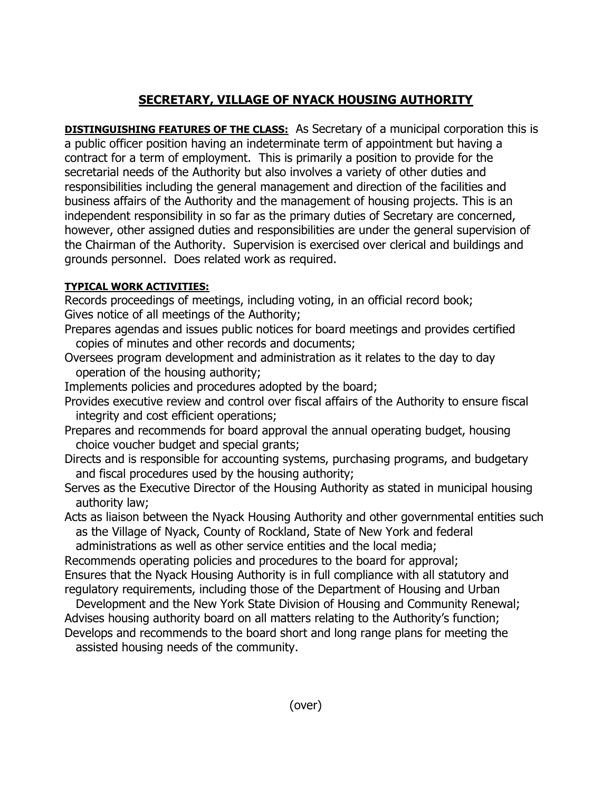## **SECRETARY, VILLAGE OF NYACK HOUSING AUTHORITY**

**DISTINGUISHING FEATURES OF THE CLASS:** As Secretary of a municipal corporation this is a public officer position having an indeterminate term of appointment but having a contract for a term of employment. This is primarily a position to provide for the secretarial needs of the Authority but also involves a variety of other duties and responsibilities including the general management and direction of the facilities and business affairs of the Authority and the management of housing projects. This is an independent responsibility in so far as the primary duties of Secretary are concerned, however, other assigned duties and responsibilities are under the general supervision of the Chairman of the Authority. Supervision is exercised over clerical and buildings and grounds personnel. Does related work as required.

## **TYPICAL WORK ACTIVITIES:**

Records proceedings of meetings, including voting, in an official record book; Gives notice of all meetings of the Authority;

- Prepares agendas and issues public notices for board meetings and provides certified copies of minutes and other records and documents;
- Oversees program development and administration as it relates to the day to day operation of the housing authority;
- Implements policies and procedures adopted by the board;
- Provides executive review and control over fiscal affairs of the Authority to ensure fiscal integrity and cost efficient operations;
- Prepares and recommends for board approval the annual operating budget, housing choice voucher budget and special grants;
- Directs and is responsible for accounting systems, purchasing programs, and budgetary and fiscal procedures used by the housing authority;
- Serves as the Executive Director of the Housing Authority as stated in municipal housing authority law;
- Acts as liaison between the Nyack Housing Authority and other governmental entities such as the Village of Nyack, County of Rockland, State of New York and federal administrations as well as other service entities and the local media;
- Recommends operating policies and procedures to the board for approval;

Ensures that the Nyack Housing Authority is in full compliance with all statutory and regulatory requirements, including those of the Department of Housing and Urban

 Development and the New York State Division of Housing and Community Renewal; Advises housing authority board on all matters relating to the Authority's function; Develops and recommends to the board short and long range plans for meeting the

assisted housing needs of the community.